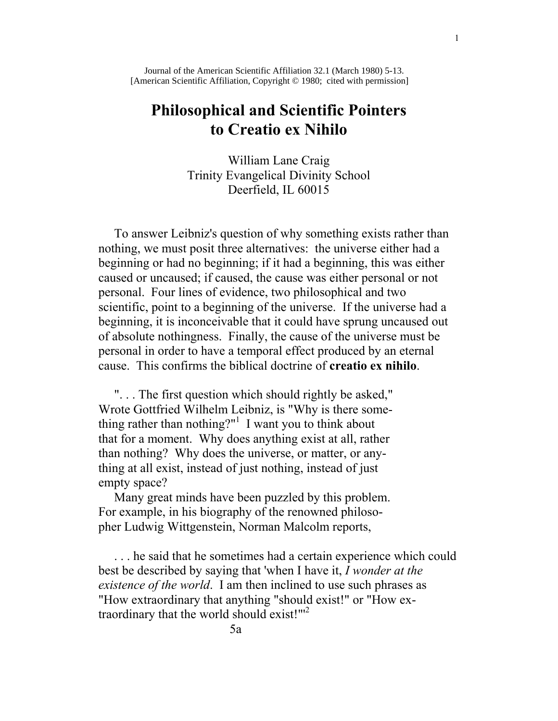Journal of the American Scientific Affiliation 32.1 (March 1980) 5-13. [American Scientific Affiliation, Copyright © 1980; cited with permission]

# **Philosophical and Scientific Pointers to Creatio ex Nihilo**

William Lane Craig Trinity Evangelical Divinity School Deerfield, IL 60015

 To answer Leibniz's question of why something exists rather than nothing, we must posit three alternatives: the universe either had a beginning or had no beginning; if it had a beginning, this was either caused or uncaused; if caused, the cause was either personal or not personal. Four lines of evidence, two philosophical and two scientific, point to a beginning of the universe. If the universe had a beginning, it is inconceivable that it could have sprung uncaused out of absolute nothingness. Finally, the cause of the universe must be personal in order to have a temporal effect produced by an eternal cause. This confirms the biblical doctrine of **creatio ex nihilo**.

 ". . . The first question which should rightly be asked," Wrote Gottfried Wilhelm Leibniz, is "Why is there something rather than nothing?" $1$  I want you to think about that for a moment. Why does anything exist at all, rather than nothing? Why does the universe, or matter, or anything at all exist, instead of just nothing, instead of just empty space?

 Many great minds have been puzzled by this problem. For example, in his biography of the renowned philosopher Ludwig Wittgenstein, Norman Malcolm reports,

 . . . he said that he sometimes had a certain experience which could best be described by saying that 'when I have it, *I wonder at the existence of the world*. I am then inclined to use such phrases as "How extraordinary that anything "should exist!" or "How extraordinary that the world should exist!"'<sup>2</sup>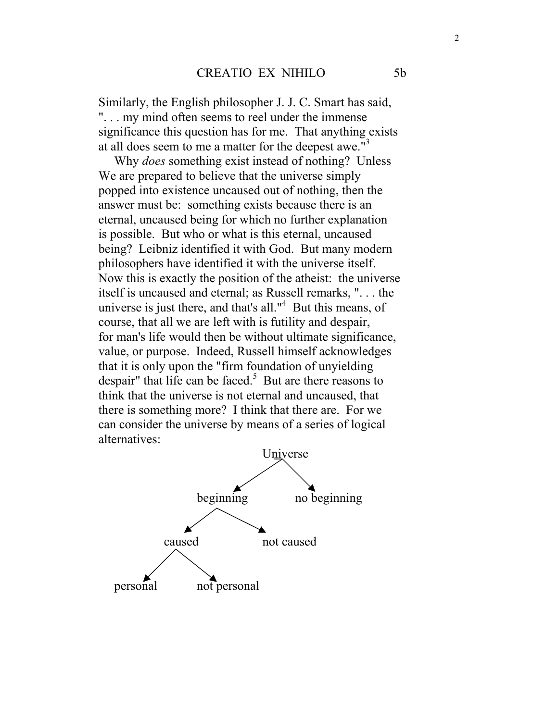Similarly, the English philosopher J. J. C. Smart has said, ". . . my mind often seems to reel under the immense significance this question has for me. That anything exists at all does seem to me a matter for the deepest awe."<sup>3</sup>

 Why *does* something exist instead of nothing? Unless We are prepared to believe that the universe simply popped into existence uncaused out of nothing, then the answer must be: something exists because there is an eternal, uncaused being for which no further explanation is possible. But who or what is this eternal, uncaused being? Leibniz identified it with God. But many modern philosophers have identified it with the universe itself. Now this is exactly the position of the atheist: the universe itself is uncaused and eternal; as Russell remarks, ". . . the universe is just there, and that's all." $4$  But this means, of course, that all we are left with is futility and despair, for man's life would then be without ultimate significance, value, or purpose. Indeed, Russell himself acknowledges that it is only upon the "firm foundation of unyielding despair" that life can be faced. $5$  But are there reasons to think that the universe is not eternal and uncaused, that there is something more? I think that there are. For we can consider the universe by means of a series of logical alternatives:

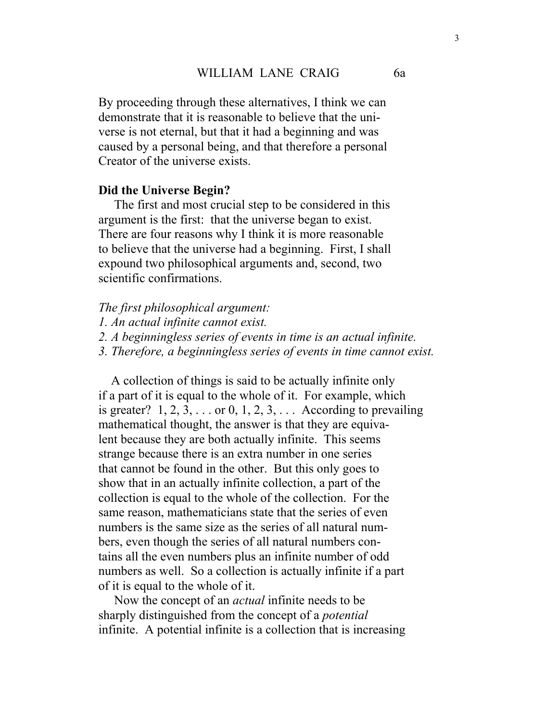By proceeding through these alternatives, I think we can demonstrate that it is reasonable to believe that the universe is not eternal, but that it had a beginning and was caused by a personal being, and that therefore a personal Creator of the universe exists.

## **Did the Universe Begin?**

 The first and most crucial step to be considered in this argument is the first: that the universe began to exist. There are four reasons why I think it is more reasonable to believe that the universe had a beginning. First, I shall expound two philosophical arguments and, second, two scientific confirmations.

*The first philosophical argument:* 

- *1. An actual infinite cannot exist.*
- *2. A beginningless series of events in time is an actual infinite.*
- *3. Therefore, a beginningless series of events in time cannot exist.*

 A collection of things is said to be actually infinite only if a part of it is equal to the whole of it. For example, which is greater?  $1, 2, 3, \ldots$  or  $0, 1, 2, 3, \ldots$  According to prevailing mathematical thought, the answer is that they are equivalent because they are both actually infinite. This seems strange because there is an extra number in one series that cannot be found in the other. But this only goes to show that in an actually infinite collection, a part of the collection is equal to the whole of the collection. For the same reason, mathematicians state that the series of even numbers is the same size as the series of all natural numbers, even though the series of all natural numbers contains all the even numbers plus an infinite number of odd numbers as well. So a collection is actually infinite if a part of it is equal to the whole of it.

 Now the concept of an *actual* infinite needs to be sharply distinguished from the concept of a *potential* infinite. A potential infinite is a collection that is increasing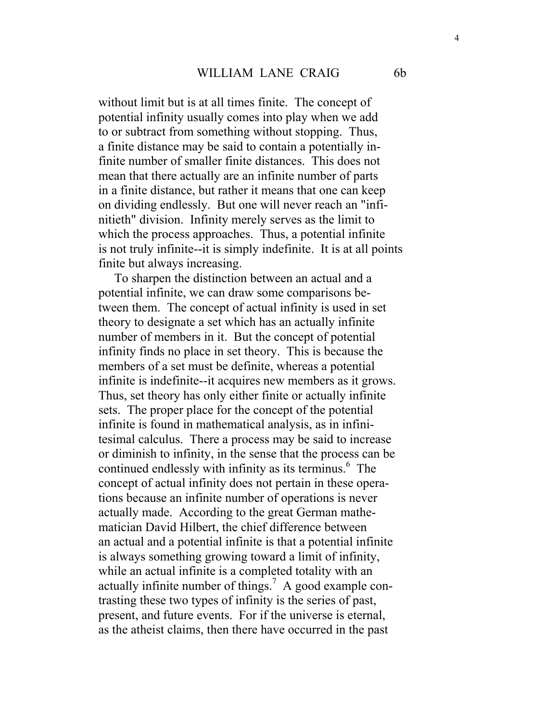without limit but is at all times finite. The concept of potential infinity usually comes into play when we add to or subtract from something without stopping. Thus, a finite distance may be said to contain a potentially infinite number of smaller finite distances. This does not mean that there actually are an infinite number of parts in a finite distance, but rather it means that one can keep on dividing endlessly. But one will never reach an "infinitieth" division. Infinity merely serves as the limit to which the process approaches. Thus, a potential infinite is not truly infinite--it is simply indefinite. It is at all points finite but always increasing.

 To sharpen the distinction between an actual and a potential infinite, we can draw some comparisons between them. The concept of actual infinity is used in set theory to designate a set which has an actually infinite number of members in it. But the concept of potential infinity finds no place in set theory. This is because the members of a set must be definite, whereas a potential infinite is indefinite--it acquires new members as it grows. Thus, set theory has only either finite or actually infinite sets. The proper place for the concept of the potential infinite is found in mathematical analysis, as in infinitesimal calculus. There a process may be said to increase or diminish to infinity, in the sense that the process can be continued endlessly with infinity as its terminus.<sup>6</sup> The concept of actual infinity does not pertain in these operations because an infinite number of operations is never actually made. According to the great German mathematician David Hilbert, the chief difference between an actual and a potential infinite is that a potential infinite is always something growing toward a limit of infinity, while an actual infinite is a completed totality with an actually infinite number of things.<sup>7</sup> A good example contrasting these two types of infinity is the series of past, present, and future events. For if the universe is eternal, as the atheist claims, then there have occurred in the past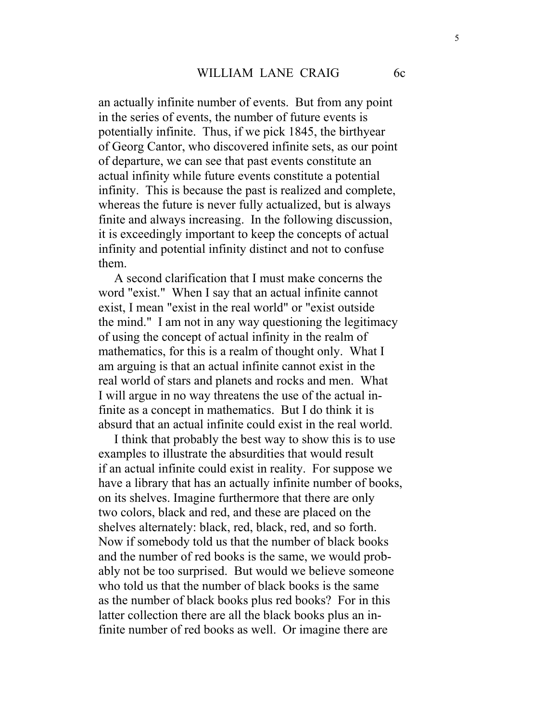an actually infinite number of events. But from any point in the series of events, the number of future events is potentially infinite. Thus, if we pick 1845, the birthyear of Georg Cantor, who discovered infinite sets, as our point of departure, we can see that past events constitute an actual infinity while future events constitute a potential infinity. This is because the past is realized and complete, whereas the future is never fully actualized, but is always finite and always increasing. In the following discussion, it is exceedingly important to keep the concepts of actual infinity and potential infinity distinct and not to confuse them.

 A second clarification that I must make concerns the word "exist." When I say that an actual infinite cannot exist, I mean "exist in the real world" or "exist outside the mind." I am not in any way questioning the legitimacy of using the concept of actual infinity in the realm of mathematics, for this is a realm of thought only. What I am arguing is that an actual infinite cannot exist in the real world of stars and planets and rocks and men. What I will argue in no way threatens the use of the actual infinite as a concept in mathematics. But I do think it is absurd that an actual infinite could exist in the real world.

 I think that probably the best way to show this is to use examples to illustrate the absurdities that would result if an actual infinite could exist in reality. For suppose we have a library that has an actually infinite number of books, on its shelves. Imagine furthermore that there are only two colors, black and red, and these are placed on the shelves alternately: black, red, black, red, and so forth. Now if somebody told us that the number of black books and the number of red books is the same, we would probably not be too surprised. But would we believe someone who told us that the number of black books is the same as the number of black books plus red books? For in this latter collection there are all the black books plus an infinite number of red books as well. Or imagine there are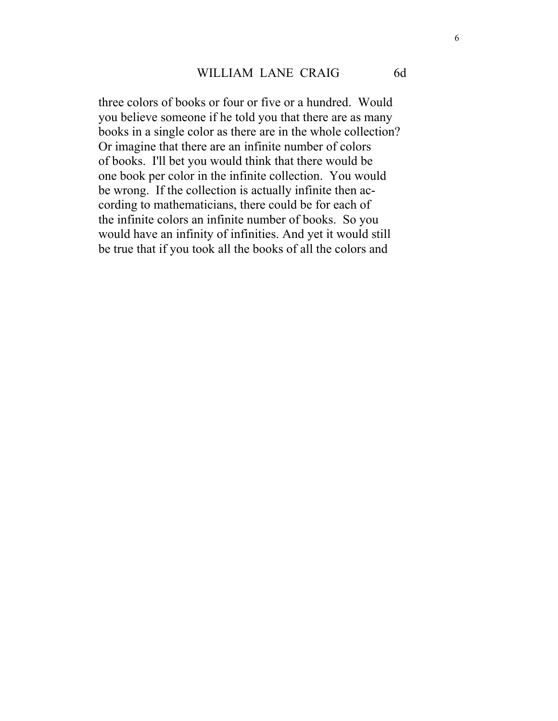three colors of books or four or five or a hundred. Would you believe someone if he told you that there are as many books in a single color as there are in the whole collection? Or imagine that there are an infinite number of colors of books. I'll bet you would think that there would be one book per color in the infinite collection. You would be wrong. If the collection is actually infinite then according to mathematicians, there could be for each of the infinite colors an infinite number of books. So you would have an infinity of infinities. And yet it would still be true that if you took all the books of all the colors and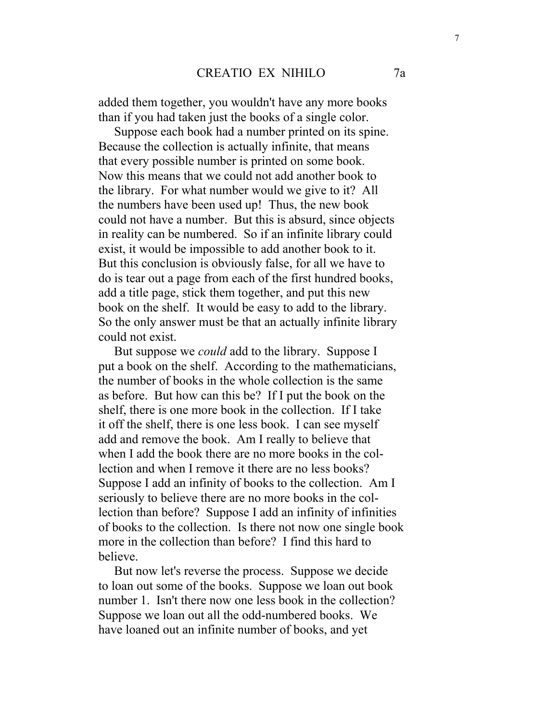added them together, you wouldn't have any more books than if you had taken just the books of a single color.

 Suppose each book had a number printed on its spine. Because the collection is actually infinite, that means that every possible number is printed on some book. Now this means that we could not add another book to the library. For what number would we give to it? All the numbers have been used up! Thus, the new book could not have a number. But this is absurd, since objects in reality can be numbered. So if an infinite library could exist, it would be impossible to add another book to it. But this conclusion is obviously false, for all we have to do is tear out a page from each of the first hundred books, add a title page, stick them together, and put this new book on the shelf. It would be easy to add to the library. So the only answer must be that an actually infinite library could not exist.

 But suppose we *could* add to the library. Suppose I put a book on the shelf. According to the mathematicians, the number of books in the whole collection is the same as before. But how can this be? If I put the book on the shelf, there is one more book in the collection. If I take it off the shelf, there is one less book. I can see myself add and remove the book. Am I really to believe that when I add the book there are no more books in the collection and when I remove it there are no less books? Suppose I add an infinity of books to the collection. Am I seriously to believe there are no more books in the collection than before? Suppose I add an infinity of infinities of books to the collection. Is there not now one single book more in the collection than before? I find this hard to believe.

 But now let's reverse the process. Suppose we decide to loan out some of the books. Suppose we loan out book number 1. Isn't there now one less book in the collection? Suppose we loan out all the odd-numbered books. We have loaned out an infinite number of books, and yet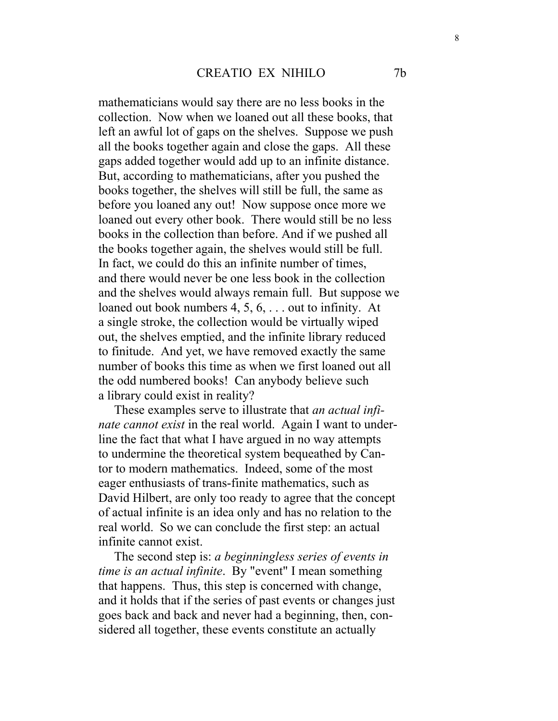mathematicians would say there are no less books in the collection. Now when we loaned out all these books, that left an awful lot of gaps on the shelves. Suppose we push all the books together again and close the gaps. All these gaps added together would add up to an infinite distance. But, according to mathematicians, after you pushed the books together, the shelves will still be full, the same as before you loaned any out! Now suppose once more we loaned out every other book. There would still be no less books in the collection than before. And if we pushed all the books together again, the shelves would still be full. In fact, we could do this an infinite number of times, and there would never be one less book in the collection and the shelves would always remain full. But suppose we loaned out book numbers 4, 5, 6, ... out to infinity. At a single stroke, the collection would be virtually wiped out, the shelves emptied, and the infinite library reduced to finitude. And yet, we have removed exactly the same number of books this time as when we first loaned out all the odd numbered books! Can anybody believe such a library could exist in reality?

 These examples serve to illustrate that *an actual infinate cannot exist* in the real world. Again I want to underline the fact that what I have argued in no way attempts to undermine the theoretical system bequeathed by Cantor to modern mathematics. Indeed, some of the most eager enthusiasts of trans-finite mathematics, such as David Hilbert, are only too ready to agree that the concept of actual infinite is an idea only and has no relation to the real world. So we can conclude the first step: an actual infinite cannot exist.

 The second step is: *a beginningless series of events in time is an actual infinite*. By "event" I mean something that happens. Thus, this step is concerned with change, and it holds that if the series of past events or changes just goes back and back and never had a beginning, then, considered all together, these events constitute an actually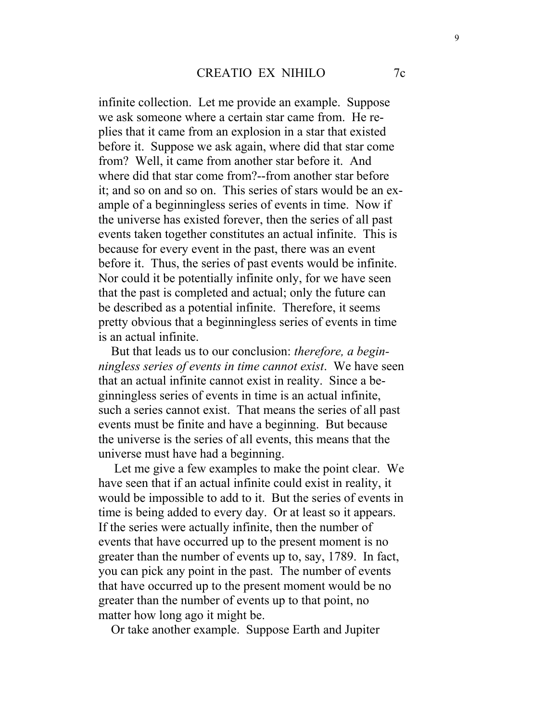infinite collection. Let me provide an example. Suppose we ask someone where a certain star came from. He replies that it came from an explosion in a star that existed before it. Suppose we ask again, where did that star come from? Well, it came from another star before it. And where did that star come from?--from another star before it; and so on and so on. This series of stars would be an example of a beginningless series of events in time. Now if the universe has existed forever, then the series of all past events taken together constitutes an actual infinite. This is because for every event in the past, there was an event before it. Thus, the series of past events would be infinite. Nor could it be potentially infinite only, for we have seen that the past is completed and actual; only the future can be described as a potential infinite. Therefore, it seems pretty obvious that a beginningless series of events in time is an actual infinite.

 But that leads us to our conclusion: *therefore, a beginningless series of events in time cannot exist*. We have seen that an actual infinite cannot exist in reality. Since a beginningless series of events in time is an actual infinite, such a series cannot exist. That means the series of all past events must be finite and have a beginning. But because the universe is the series of all events, this means that the universe must have had a beginning.

 Let me give a few examples to make the point clear. We have seen that if an actual infinite could exist in reality, it would be impossible to add to it. But the series of events in time is being added to every day. Or at least so it appears. If the series were actually infinite, then the number of events that have occurred up to the present moment is no greater than the number of events up to, say, 1789. In fact, you can pick any point in the past. The number of events that have occurred up to the present moment would be no greater than the number of events up to that point, no matter how long ago it might be.

Or take another example. Suppose Earth and Jupiter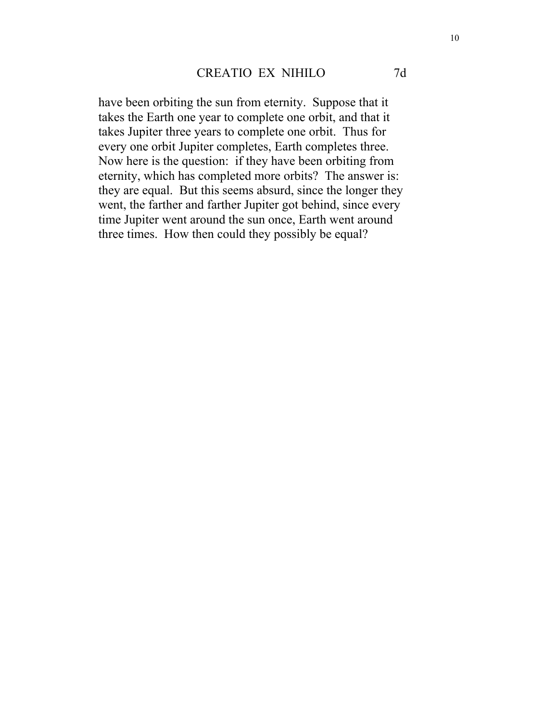have been orbiting the sun from eternity. Suppose that it takes the Earth one year to complete one orbit, and that it takes Jupiter three years to complete one orbit. Thus for every one orbit Jupiter completes, Earth completes three. Now here is the question: if they have been orbiting from eternity, which has completed more orbits? The answer is: they are equal. But this seems absurd, since the longer they went, the farther and farther Jupiter got behind, since every time Jupiter went around the sun once, Earth went around three times. How then could they possibly be equal?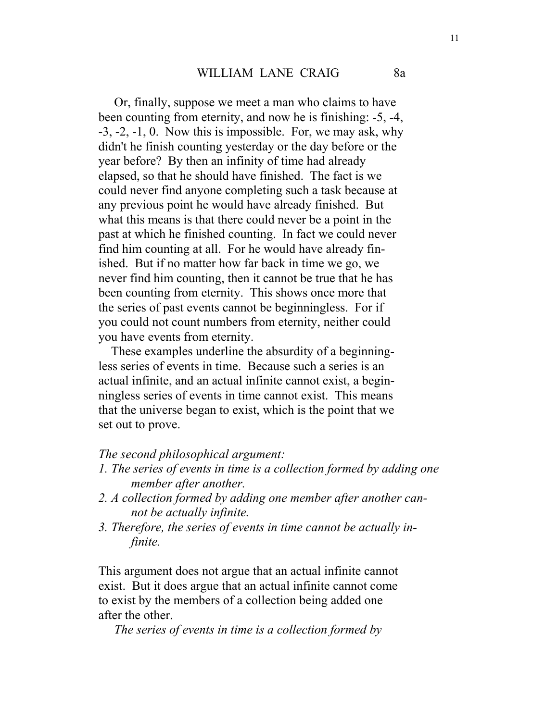Or, finally, suppose we meet a man who claims to have been counting from eternity, and now he is finishing: -5, -4,  $-3$ ,  $-2$ ,  $-1$ , 0. Now this is impossible. For, we may ask, why didn't he finish counting yesterday or the day before or the year before? By then an infinity of time had already elapsed, so that he should have finished. The fact is we could never find anyone completing such a task because at any previous point he would have already finished. But what this means is that there could never be a point in the past at which he finished counting. In fact we could never find him counting at all. For he would have already finished. But if no matter how far back in time we go, we never find him counting, then it cannot be true that he has been counting from eternity. This shows once more that the series of past events cannot be beginningless. For if you could not count numbers from eternity, neither could you have events from eternity.

 These examples underline the absurdity of a beginningless series of events in time. Because such a series is an actual infinite, and an actual infinite cannot exist, a beginningless series of events in time cannot exist. This means that the universe began to exist, which is the point that we set out to prove.

#### *The second philosophical argument:*

- *1. The series of events in time is a collection formed by adding one member after another.*
- *2. A collection formed by adding one member after another cannot be actually infinite.*
- *3. Therefore, the series of events in time cannot be actually infinite.*

This argument does not argue that an actual infinite cannot exist. But it does argue that an actual infinite cannot come to exist by the members of a collection being added one after the other.

*The series of events in time is a collection formed by*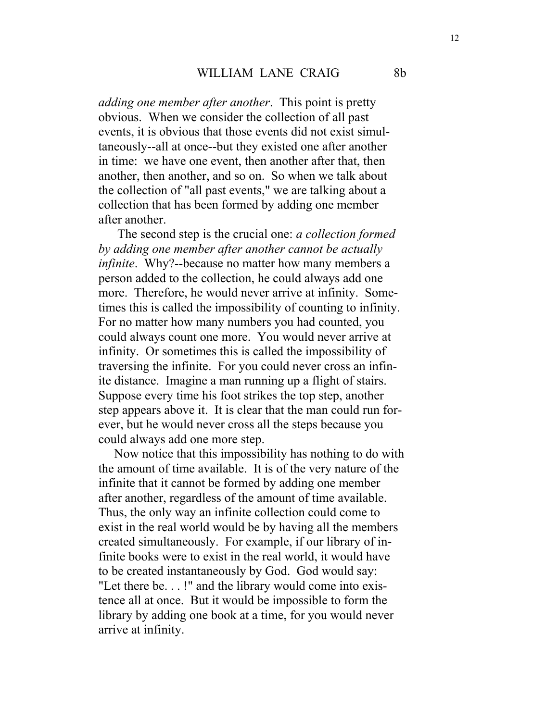*adding one member after another*. This point is pretty obvious. When we consider the collection of all past events, it is obvious that those events did not exist simultaneously--all at once--but they existed one after another in time: we have one event, then another after that, then another, then another, and so on. So when we talk about the collection of "all past events," we are talking about a collection that has been formed by adding one member after another.

 The second step is the crucial one: *a collection formed by adding one member after another cannot be actually infinite*. Why?--because no matter how many members a person added to the collection, he could always add one more. Therefore, he would never arrive at infinity. Sometimes this is called the impossibility of counting to infinity. For no matter how many numbers you had counted, you could always count one more. You would never arrive at infinity. Or sometimes this is called the impossibility of traversing the infinite. For you could never cross an infinite distance. Imagine a man running up a flight of stairs. Suppose every time his foot strikes the top step, another step appears above it. It is clear that the man could run forever, but he would never cross all the steps because you could always add one more step.

 Now notice that this impossibility has nothing to do with the amount of time available. It is of the very nature of the infinite that it cannot be formed by adding one member after another, regardless of the amount of time available. Thus, the only way an infinite collection could come to exist in the real world would be by having all the members created simultaneously. For example, if our library of infinite books were to exist in the real world, it would have to be created instantaneously by God. God would say: "Let there be. . . !" and the library would come into existence all at once. But it would be impossible to form the library by adding one book at a time, for you would never arrive at infinity.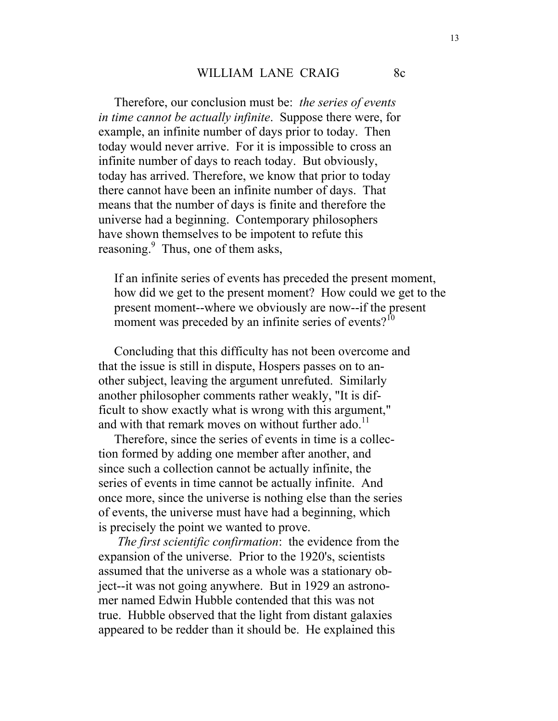Therefore, our conclusion must be: *the series of events in time cannot be actually infinite*. Suppose there were, for example, an infinite number of days prior to today. Then today would never arrive. For it is impossible to cross an infinite number of days to reach today. But obviously, today has arrived. Therefore, we know that prior to today there cannot have been an infinite number of days. That means that the number of days is finite and therefore the universe had a beginning. Contemporary philosophers have shown themselves to be impotent to refute this reasoning.<sup>9</sup> Thus, one of them asks,

 If an infinite series of events has preceded the present moment, how did we get to the present moment? How could we get to the present moment--where we obviously are now--if the present moment was preceded by an infinite series of events? $10$ 

 Concluding that this difficulty has not been overcome and that the issue is still in dispute, Hospers passes on to another subject, leaving the argument unrefuted. Similarly another philosopher comments rather weakly, "It is difficult to show exactly what is wrong with this argument," and with that remark moves on without further ado.<sup>11</sup>

 Therefore, since the series of events in time is a collection formed by adding one member after another, and since such a collection cannot be actually infinite, the series of events in time cannot be actually infinite. And once more, since the universe is nothing else than the series of events, the universe must have had a beginning, which is precisely the point we wanted to prove.

 *The first scientific confirmation*: the evidence from the expansion of the universe. Prior to the 1920's, scientists assumed that the universe as a whole was a stationary object--it was not going anywhere. But in 1929 an astronomer named Edwin Hubble contended that this was not true. Hubble observed that the light from distant galaxies appeared to be redder than it should be. He explained this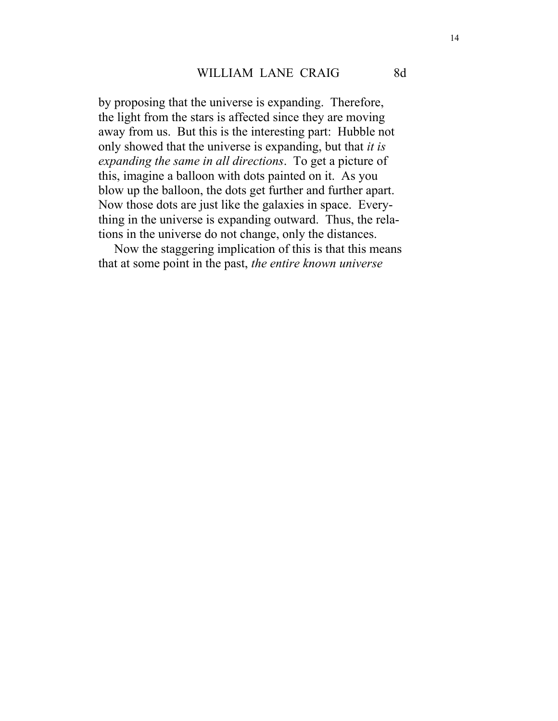by proposing that the universe is expanding. Therefore, the light from the stars is affected since they are moving away from us. But this is the interesting part: Hubble not only showed that the universe is expanding, but that *it is expanding the same in all directions*. To get a picture of this, imagine a balloon with dots painted on it. As you blow up the balloon, the dots get further and further apart. Now those dots are just like the galaxies in space. Everything in the universe is expanding outward. Thus, the relations in the universe do not change, only the distances.

 Now the staggering implication of this is that this means that at some point in the past, *the entire known universe*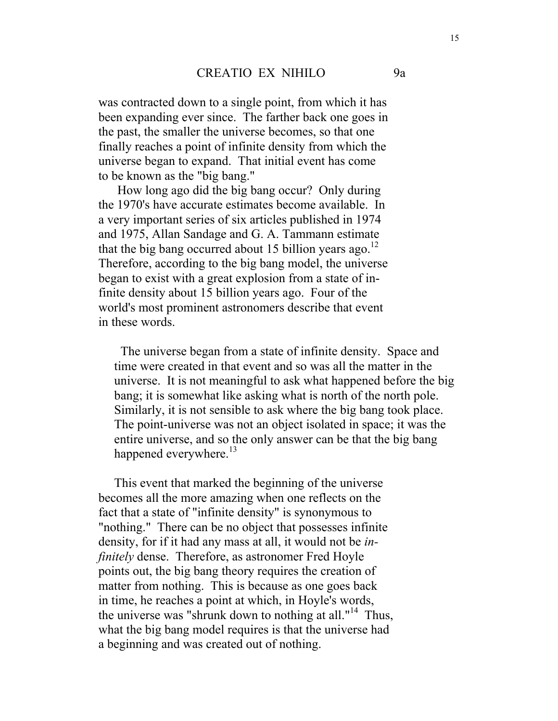was contracted down to a single point, from which it has been expanding ever since. The farther back one goes in the past, the smaller the universe becomes, so that one finally reaches a point of infinite density from which the universe began to expand. That initial event has come to be known as the "big bang."

 How long ago did the big bang occur? Only during the 1970's have accurate estimates become available. In a very important series of six articles published in 1974 and 1975, Allan Sandage and G. A. Tammann estimate that the big bang occurred about 15 billion years ago.<sup>12</sup> Therefore, according to the big bang model, the universe began to exist with a great explosion from a state of infinite density about 15 billion years ago. Four of the world's most prominent astronomers describe that event in these words.

 The universe began from a state of infinite density. Space and time were created in that event and so was all the matter in the universe. It is not meaningful to ask what happened before the big bang; it is somewhat like asking what is north of the north pole. Similarly, it is not sensible to ask where the big bang took place. The point-universe was not an object isolated in space; it was the entire universe, and so the only answer can be that the big bang happened everywhere.<sup>13</sup>

 This event that marked the beginning of the universe becomes all the more amazing when one reflects on the fact that a state of "infinite density" is synonymous to "nothing." There can be no object that possesses infinite density, for if it had any mass at all, it would not be *infinitely* dense. Therefore, as astronomer Fred Hoyle points out, the big bang theory requires the creation of matter from nothing. This is because as one goes back in time, he reaches a point at which, in Hoyle's words, the universe was "shrunk down to nothing at all."<sup>14</sup> Thus, what the big bang model requires is that the universe had a beginning and was created out of nothing.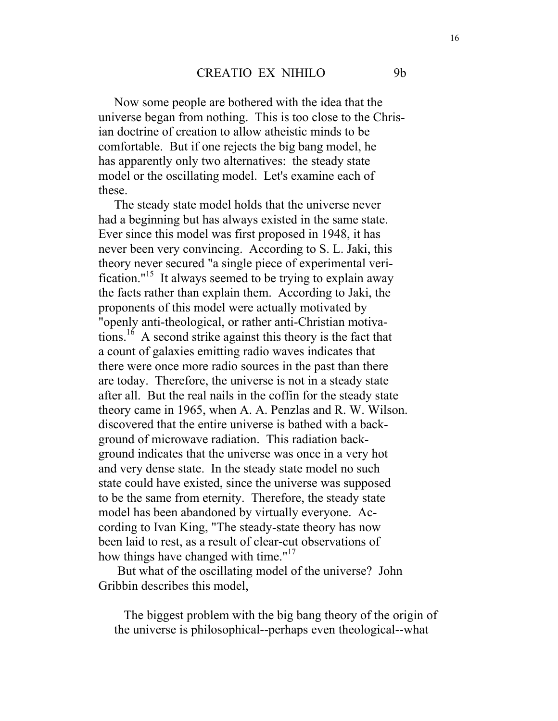Now some people are bothered with the idea that the universe began from nothing. This is too close to the Chrisian doctrine of creation to allow atheistic minds to be comfortable. But if one rejects the big bang model, he has apparently only two alternatives: the steady state model or the oscillating model. Let's examine each of these.

 The steady state model holds that the universe never had a beginning but has always existed in the same state. Ever since this model was first proposed in 1948, it has never been very convincing. According to S. L. Jaki, this theory never secured "a single piece of experimental verification."<sup>15</sup> It always seemed to be trying to explain away the facts rather than explain them. According to Jaki, the proponents of this model were actually motivated by "openly anti-theological, or rather anti-Christian motivations.<sup>16</sup> A second strike against this theory is the fact that a count of galaxies emitting radio waves indicates that there were once more radio sources in the past than there are today. Therefore, the universe is not in a steady state after all. But the real nails in the coffin for the steady state theory came in 1965, when A. A. Penzlas and R. W. Wilson. discovered that the entire universe is bathed with a background of microwave radiation. This radiation background indicates that the universe was once in a very hot and very dense state. In the steady state model no such state could have existed, since the universe was supposed to be the same from eternity. Therefore, the steady state model has been abandoned by virtually everyone. According to Ivan King, "The steady-state theory has now been laid to rest, as a result of clear-cut observations of how things have changed with time."<sup>17</sup>

 But what of the oscillating model of the universe? John Gribbin describes this model,

 The biggest problem with the big bang theory of the origin of the universe is philosophical--perhaps even theological--what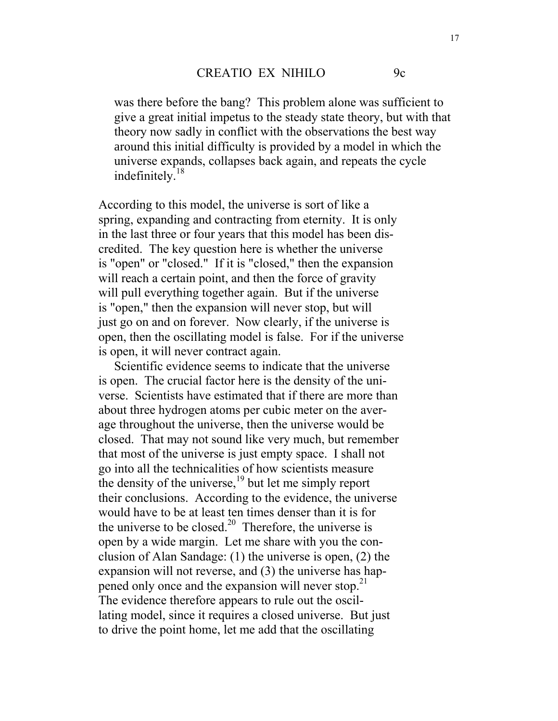was there before the bang? This problem alone was sufficient to give a great initial impetus to the steady state theory, but with that theory now sadly in conflict with the observations the best way around this initial difficulty is provided by a model in which the universe expands, collapses back again, and repeats the cycle indefinitely.<sup>18</sup>

According to this model, the universe is sort of like a spring, expanding and contracting from eternity. It is only in the last three or four years that this model has been discredited. The key question here is whether the universe is "open" or "closed." If it is "closed," then the expansion will reach a certain point, and then the force of gravity will pull everything together again. But if the universe is "open," then the expansion will never stop, but will just go on and on forever. Now clearly, if the universe is open, then the oscillating model is false. For if the universe is open, it will never contract again.

 Scientific evidence seems to indicate that the universe is open. The crucial factor here is the density of the universe. Scientists have estimated that if there are more than about three hydrogen atoms per cubic meter on the average throughout the universe, then the universe would be closed. That may not sound like very much, but remember that most of the universe is just empty space. I shall not go into all the technicalities of how scientists measure the density of the universe, $19$  but let me simply report their conclusions. According to the evidence, the universe would have to be at least ten times denser than it is for the universe to be closed.<sup>20</sup> Therefore, the universe is open by a wide margin. Let me share with you the conclusion of Alan Sandage: (1) the universe is open, (2) the expansion will not reverse, and (3) the universe has happened only once and the expansion will never stop.<sup>21</sup> The evidence therefore appears to rule out the oscillating model, since it requires a closed universe. But just to drive the point home, let me add that the oscillating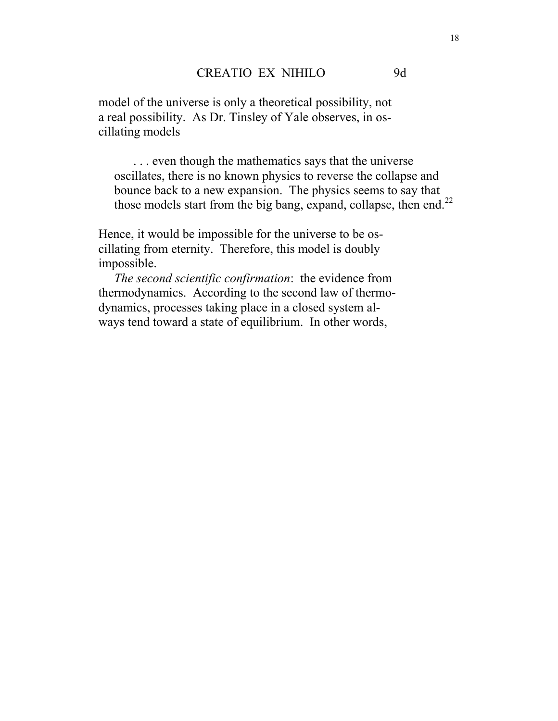# CREATIO EX NIHILO 9d

model of the universe is only a theoretical possibility, not a real possibility. As Dr. Tinsley of Yale observes, in oscillating models

 . . . even though the mathematics says that the universe oscillates, there is no known physics to reverse the collapse and bounce back to a new expansion. The physics seems to say that those models start from the big bang, expand, collapse, then end.<sup>22</sup>

Hence, it would be impossible for the universe to be oscillating from eternity. Therefore, this model is doubly impossible.

 *The second scientific confirmation*: the evidence from thermodynamics. According to the second law of thermodynamics, processes taking place in a closed system always tend toward a state of equilibrium. In other words,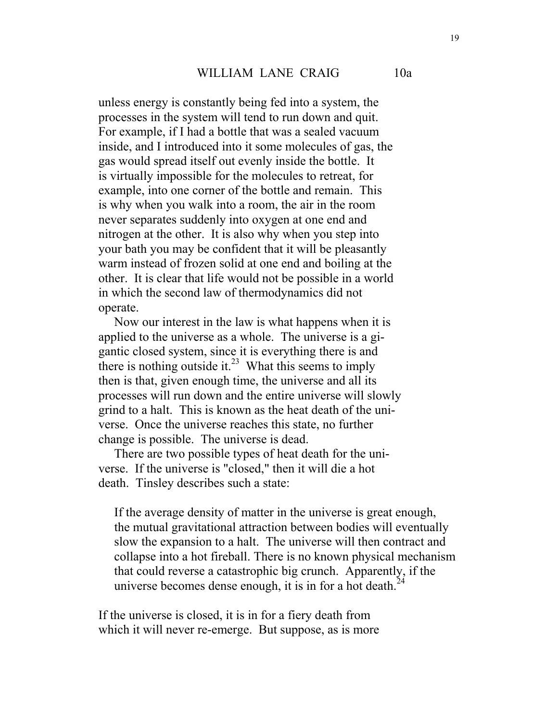unless energy is constantly being fed into a system, the processes in the system will tend to run down and quit. For example, if I had a bottle that was a sealed vacuum inside, and I introduced into it some molecules of gas, the gas would spread itself out evenly inside the bottle. It is virtually impossible for the molecules to retreat, for example, into one corner of the bottle and remain. This is why when you walk into a room, the air in the room never separates suddenly into oxygen at one end and nitrogen at the other. It is also why when you step into your bath you may be confident that it will be pleasantly warm instead of frozen solid at one end and boiling at the other. It is clear that life would not be possible in a world in which the second law of thermodynamics did not operate.

 Now our interest in the law is what happens when it is applied to the universe as a whole. The universe is a gigantic closed system, since it is everything there is and there is nothing outside it.<sup>23</sup> What this seems to imply then is that, given enough time, the universe and all its processes will run down and the entire universe will slowly grind to a halt. This is known as the heat death of the universe. Once the universe reaches this state, no further change is possible. The universe is dead.

 There are two possible types of heat death for the universe. If the universe is "closed," then it will die a hot death. Tinsley describes such a state:

 If the average density of matter in the universe is great enough, the mutual gravitational attraction between bodies will eventually slow the expansion to a halt. The universe will then contract and collapse into a hot fireball. There is no known physical mechanism that could reverse a catastrophic big crunch. Apparently, if the universe becomes dense enough, it is in for a hot death.<sup>24</sup>

If the universe is closed, it is in for a fiery death from which it will never re-emerge. But suppose, as is more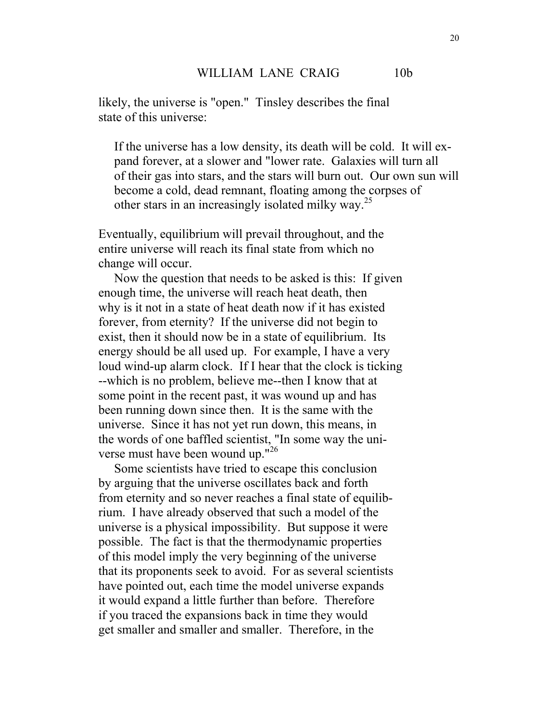likely, the universe is "open." Tinsley describes the final state of this universe:

 If the universe has a low density, its death will be cold. It will ex pand forever, at a slower and "lower rate. Galaxies will turn all of their gas into stars, and the stars will burn out. Our own sun will become a cold, dead remnant, floating among the corpses of other stars in an increasingly isolated milky way.<sup>25</sup>

Eventually, equilibrium will prevail throughout, and the entire universe will reach its final state from which no change will occur.

 Now the question that needs to be asked is this: If given enough time, the universe will reach heat death, then why is it not in a state of heat death now if it has existed forever, from eternity? If the universe did not begin to exist, then it should now be in a state of equilibrium. Its energy should be all used up. For example, I have a very loud wind-up alarm clock. If I hear that the clock is ticking --which is no problem, believe me--then I know that at some point in the recent past, it was wound up and has been running down since then. It is the same with the universe. Since it has not yet run down, this means, in the words of one baffled scientist, "In some way the universe must have been wound up."<sup>26</sup>

 Some scientists have tried to escape this conclusion by arguing that the universe oscillates back and forth from eternity and so never reaches a final state of equilibrium. I have already observed that such a model of the universe is a physical impossibility. But suppose it were possible. The fact is that the thermodynamic properties of this model imply the very beginning of the universe that its proponents seek to avoid. For as several scientists have pointed out, each time the model universe expands it would expand a little further than before. Therefore if you traced the expansions back in time they would get smaller and smaller and smaller. Therefore, in the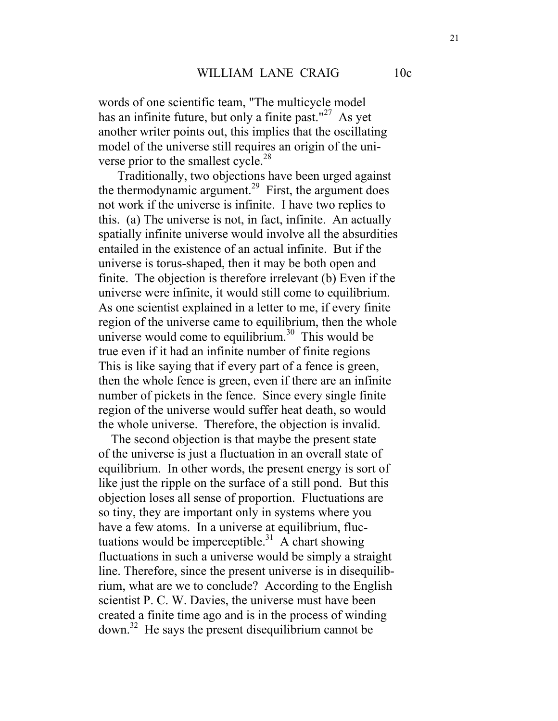words of one scientific team, "The multicycle model has an infinite future, but only a finite past." $27$  As yet another writer points out, this implies that the oscillating model of the universe still requires an origin of the universe prior to the smallest cycle.<sup>28</sup>

 Traditionally, two objections have been urged against the thermodynamic argument.<sup>29</sup> First, the argument does not work if the universe is infinite. I have two replies to this. (a) The universe is not, in fact, infinite. An actually spatially infinite universe would involve all the absurdities entailed in the existence of an actual infinite. But if the universe is torus-shaped, then it may be both open and finite. The objection is therefore irrelevant (b) Even if the universe were infinite, it would still come to equilibrium. As one scientist explained in a letter to me, if every finite region of the universe came to equilibrium, then the whole universe would come to equilibrium.<sup>30</sup> This would be true even if it had an infinite number of finite regions This is like saying that if every part of a fence is green, then the whole fence is green, even if there are an infinite number of pickets in the fence. Since every single finite region of the universe would suffer heat death, so would the whole universe. Therefore, the objection is invalid.

 The second objection is that maybe the present state of the universe is just a fluctuation in an overall state of equilibrium. In other words, the present energy is sort of like just the ripple on the surface of a still pond. But this objection loses all sense of proportion. Fluctuations are so tiny, they are important only in systems where you have a few atoms. In a universe at equilibrium, fluctuations would be imperceptible.<sup>31</sup> A chart showing fluctuations in such a universe would be simply a straight line. Therefore, since the present universe is in disequilibrium, what are we to conclude? According to the English scientist P. C. W. Davies, the universe must have been created a finite time ago and is in the process of winding down.32 He says the present disequilibrium cannot be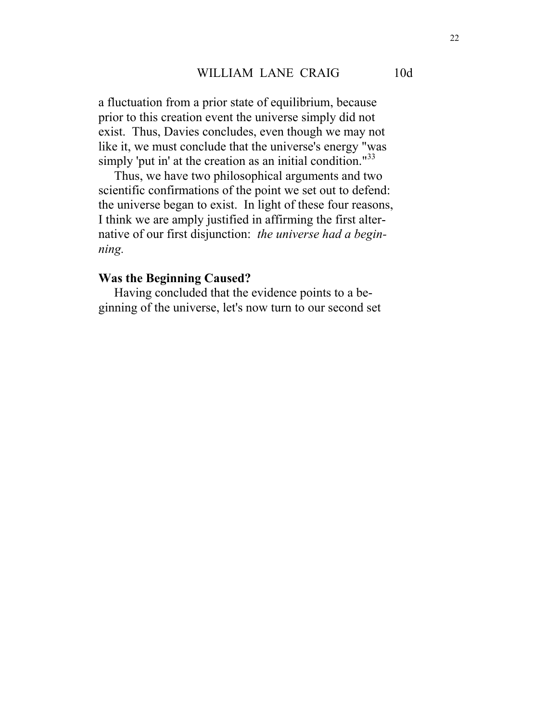a fluctuation from a prior state of equilibrium, because prior to this creation event the universe simply did not exist. Thus, Davies concludes, even though we may not like it, we must conclude that the universe's energy "was simply 'put in' at the creation as an initial condition."<sup>33</sup>

 Thus, we have two philosophical arguments and two scientific confirmations of the point we set out to defend: the universe began to exist. In light of these four reasons, I think we are amply justified in affirming the first alternative of our first disjunction: *the universe had a beginning.* 

## **Was the Beginning Caused?**

 Having concluded that the evidence points to a beginning of the universe, let's now turn to our second set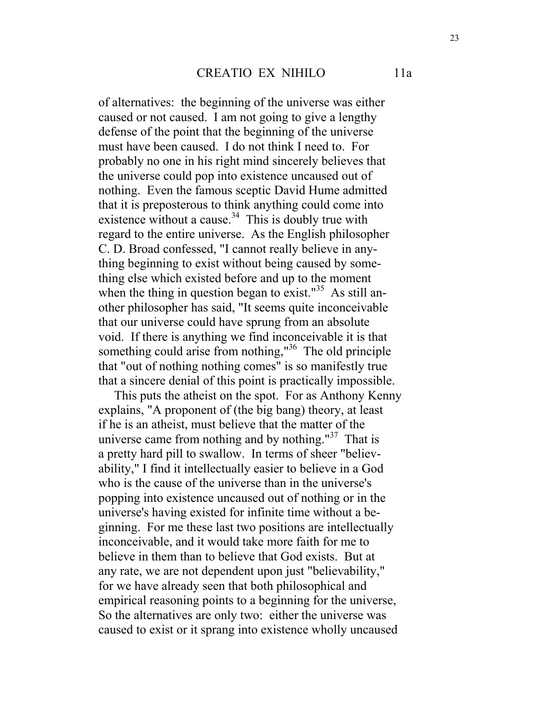of alternatives: the beginning of the universe was either caused or not caused. I am not going to give a lengthy defense of the point that the beginning of the universe must have been caused. I do not think I need to. For probably no one in his right mind sincerely believes that the universe could pop into existence uncaused out of nothing. Even the famous sceptic David Hume admitted that it is preposterous to think anything could come into existence without a cause.<sup>34</sup> This is doubly true with regard to the entire universe. As the English philosopher C. D. Broad confessed, "I cannot really believe in anything beginning to exist without being caused by something else which existed before and up to the moment when the thing in question began to exist." $35$  As still another philosopher has said, "It seems quite inconceivable that our universe could have sprung from an absolute void. If there is anything we find inconceivable it is that something could arise from nothing,"<sup>36</sup> The old principle that "out of nothing nothing comes" is so manifestly true that a sincere denial of this point is practically impossible.

 This puts the atheist on the spot. For as Anthony Kenny explains, "A proponent of (the big bang) theory, at least if he is an atheist, must believe that the matter of the universe came from nothing and by nothing." $37$  That is a pretty hard pill to swallow. In terms of sheer "believability," I find it intellectually easier to believe in a God who is the cause of the universe than in the universe's popping into existence uncaused out of nothing or in the universe's having existed for infinite time without a beginning. For me these last two positions are intellectually inconceivable, and it would take more faith for me to believe in them than to believe that God exists. But at any rate, we are not dependent upon just "believability," for we have already seen that both philosophical and empirical reasoning points to a beginning for the universe, So the alternatives are only two: either the universe was caused to exist or it sprang into existence wholly uncaused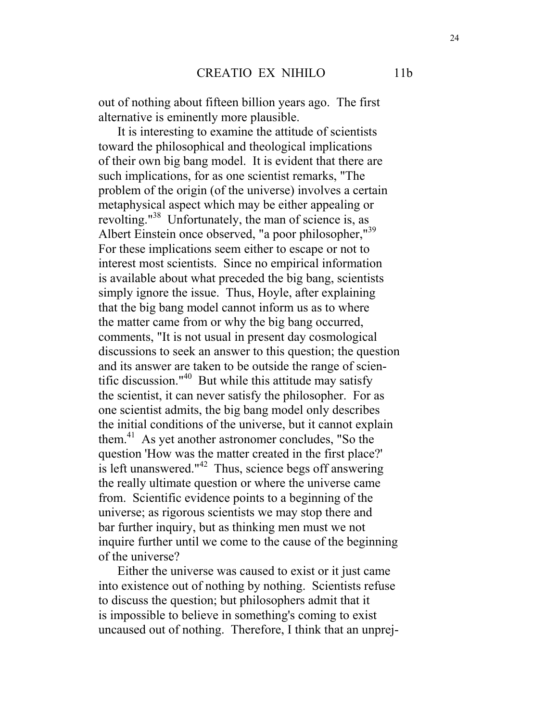out of nothing about fifteen billion years ago. The first alternative is eminently more plausible.

 It is interesting to examine the attitude of scientists toward the philosophical and theological implications of their own big bang model. It is evident that there are such implications, for as one scientist remarks, "The problem of the origin (of the universe) involves a certain metaphysical aspect which may be either appealing or revolting."38 Unfortunately, the man of science is, as Albert Einstein once observed, "a poor philosopher,"<sup>39</sup> For these implications seem either to escape or not to interest most scientists. Since no empirical information is available about what preceded the big bang, scientists simply ignore the issue. Thus, Hoyle, after explaining that the big bang model cannot inform us as to where the matter came from or why the big bang occurred, comments, "It is not usual in present day cosmological discussions to seek an answer to this question; the question and its answer are taken to be outside the range of scientific discussion."40 But while this attitude may satisfy the scientist, it can never satisfy the philosopher. For as one scientist admits, the big bang model only describes the initial conditions of the universe, but it cannot explain them. $41$  As yet another astronomer concludes, "So the question 'How was the matter created in the first place?' is left unanswered." $42$  Thus, science begs off answering the really ultimate question or where the universe came from. Scientific evidence points to a beginning of the universe; as rigorous scientists we may stop there and bar further inquiry, but as thinking men must we not inquire further until we come to the cause of the beginning of the universe?

 Either the universe was caused to exist or it just came into existence out of nothing by nothing. Scientists refuse to discuss the question; but philosophers admit that it is impossible to believe in something's coming to exist uncaused out of nothing. Therefore, I think that an unprej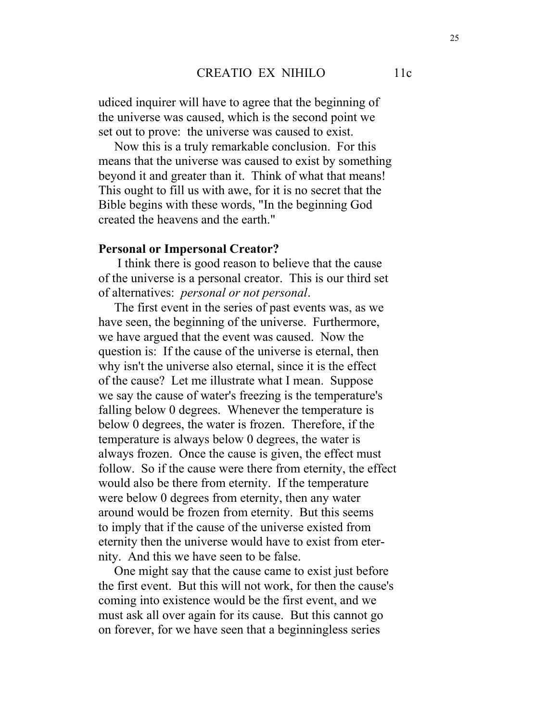udiced inquirer will have to agree that the beginning of the universe was caused, which is the second point we set out to prove: the universe was caused to exist.

 Now this is a truly remarkable conclusion. For this means that the universe was caused to exist by something beyond it and greater than it. Think of what that means! This ought to fill us with awe, for it is no secret that the Bible begins with these words, "In the beginning God created the heavens and the earth."

#### **Personal or Impersonal Creator?**

 I think there is good reason to believe that the cause of the universe is a personal creator. This is our third set of alternatives: *personal or not personal*.

 The first event in the series of past events was, as we have seen, the beginning of the universe. Furthermore, we have argued that the event was caused. Now the question is: If the cause of the universe is eternal, then why isn't the universe also eternal, since it is the effect of the cause? Let me illustrate what I mean. Suppose we say the cause of water's freezing is the temperature's falling below 0 degrees. Whenever the temperature is below 0 degrees, the water is frozen. Therefore, if the temperature is always below 0 degrees, the water is always frozen. Once the cause is given, the effect must follow. So if the cause were there from eternity, the effect would also be there from eternity. If the temperature were below 0 degrees from eternity, then any water around would be frozen from eternity. But this seems to imply that if the cause of the universe existed from eternity then the universe would have to exist from eternity. And this we have seen to be false.

 One might say that the cause came to exist just before the first event. But this will not work, for then the cause's coming into existence would be the first event, and we must ask all over again for its cause. But this cannot go on forever, for we have seen that a beginningless series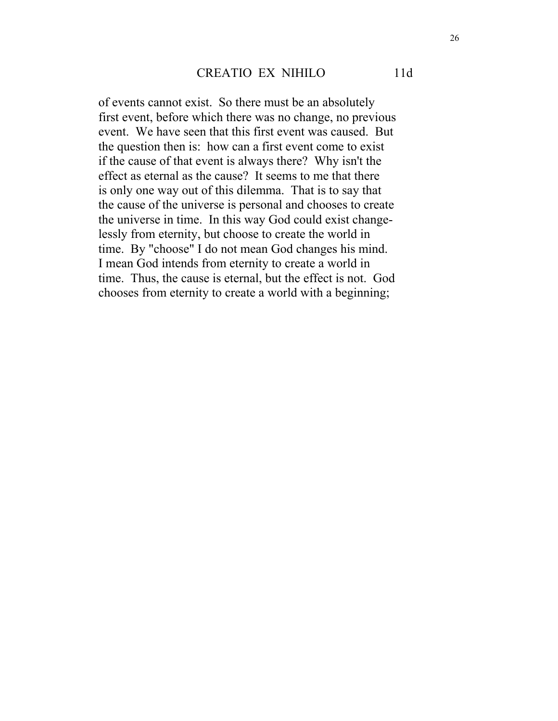of events cannot exist. So there must be an absolutely first event, before which there was no change, no previous event. We have seen that this first event was caused. But the question then is: how can a first event come to exist if the cause of that event is always there? Why isn't the effect as eternal as the cause? It seems to me that there is only one way out of this dilemma. That is to say that the cause of the universe is personal and chooses to create the universe in time. In this way God could exist changelessly from eternity, but choose to create the world in time. By "choose" I do not mean God changes his mind. I mean God intends from eternity to create a world in time. Thus, the cause is eternal, but the effect is not. God chooses from eternity to create a world with a beginning;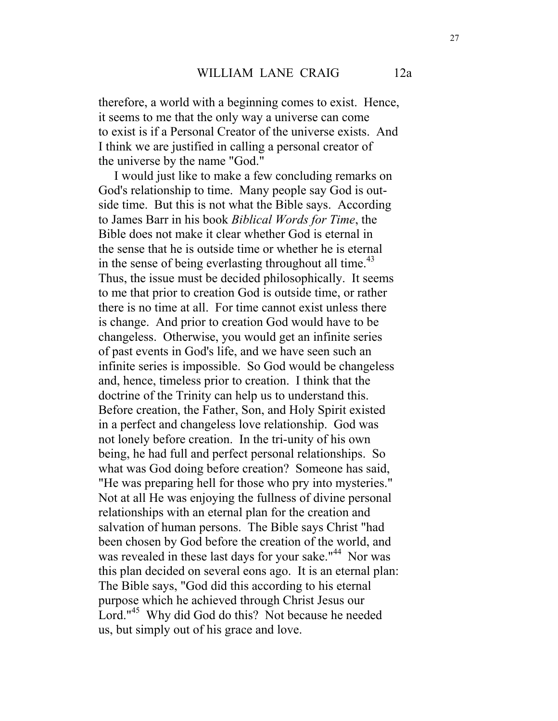therefore, a world with a beginning comes to exist. Hence, it seems to me that the only way a universe can come to exist is if a Personal Creator of the universe exists. And I think we are justified in calling a personal creator of the universe by the name "God."

 I would just like to make a few concluding remarks on God's relationship to time. Many people say God is outside time. But this is not what the Bible says. According to James Barr in his book *Biblical Words for Time*, the Bible does not make it clear whether God is eternal in the sense that he is outside time or whether he is eternal in the sense of being everlasting throughout all time. $43$ Thus, the issue must be decided philosophically. It seems to me that prior to creation God is outside time, or rather there is no time at all. For time cannot exist unless there is change. And prior to creation God would have to be changeless. Otherwise, you would get an infinite series of past events in God's life, and we have seen such an infinite series is impossible. So God would be changeless and, hence, timeless prior to creation. I think that the doctrine of the Trinity can help us to understand this. Before creation, the Father, Son, and Holy Spirit existed in a perfect and changeless love relationship. God was not lonely before creation. In the tri-unity of his own being, he had full and perfect personal relationships. So what was God doing before creation? Someone has said, "He was preparing hell for those who pry into mysteries." Not at all He was enjoying the fullness of divine personal relationships with an eternal plan for the creation and salvation of human persons. The Bible says Christ "had been chosen by God before the creation of the world, and was revealed in these last days for your sake."<sup>44</sup> Nor was this plan decided on several eons ago. It is an eternal plan: The Bible says, "God did this according to his eternal purpose which he achieved through Christ Jesus our Lord."<sup>45</sup> Why did God do this? Not because he needed us, but simply out of his grace and love.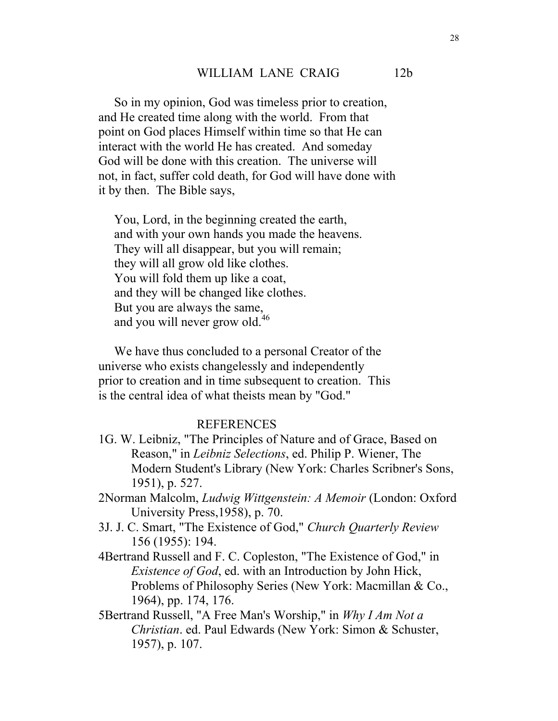So in my opinion, God was timeless prior to creation, and He created time along with the world. From that point on God places Himself within time so that He can interact with the world He has created. And someday God will be done with this creation. The universe will not, in fact, suffer cold death, for God will have done with it by then. The Bible says,

 You, Lord, in the beginning created the earth, and with your own hands you made the heavens. They will all disappear, but you will remain; they will all grow old like clothes. You will fold them up like a coat, and they will be changed like clothes. But you are always the same, and you will never grow old.<sup>46</sup>

 We have thus concluded to a personal Creator of the universe who exists changelessly and independently prior to creation and in time subsequent to creation. This is the central idea of what theists mean by "God."

## REFERENCES

- 1G. W. Leibniz, "The Principles of Nature and of Grace, Based on Reason," in *Leibniz Selections*, ed. Philip P. Wiener, The Modern Student's Library (New York: Charles Scribner's Sons, 1951), p. 527.
- 2Norman Malcolm, *Ludwig Wittgenstein: A Memoir* (London: Oxford University Press,1958), p. 70.
- 3J. J. C. Smart, "The Existence of God," *Church Quarterly Review*  156 (1955): 194.
- 4Bertrand Russell and F. C. Copleston, "The Existence of God," in *Existence of God*, ed. with an Introduction by John Hick, Problems of Philosophy Series (New York: Macmillan & Co., 1964), pp. 174, 176.
- 5Bertrand Russell, "A Free Man's Worship," in *Why I Am Not a Christian*. ed. Paul Edwards (New York: Simon & Schuster, 1957), p. 107.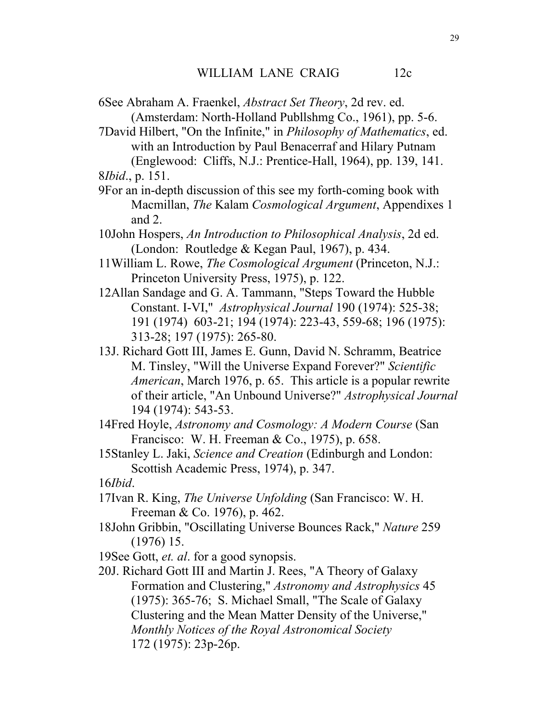- 6See Abraham A. Fraenkel, *Abstract Set Theory*, 2d rev. ed. (Amsterdam: North-Holland Publlshmg Co., 1961), pp. 5-6.
- 7David Hilbert, "On the Infinite," in *Philosophy of Mathematics*, ed. with an Introduction by Paul Benacerraf and Hilary Putnam (Englewood: Cliffs, N.J.: Prentice-Hall, 1964), pp. 139, 141. 8*Ibid*., p. 151.
- 9For an in-depth discussion of this see my forth-coming book with Macmillan, *The* Kalam *Cosmological Argument*, Appendixes 1 and 2.
- 10John Hospers, *An Introduction to Philosophical Analysis*, 2d ed. (London: Routledge & Kegan Paul, 1967), p. 434.
- 11William L. Rowe, *The Cosmological Argument* (Princeton, N.J.: Princeton University Press, 1975), p. 122.
- 12Allan Sandage and G. A. Tammann, "Steps Toward the Hubble Constant. I-VI," *Astrophysical Journal* 190 (1974): 525-38; 191 (1974) 603-21; 194 (1974): 223-43, 559-68; 196 (1975): 313-28; 197 (1975): 265-80.
- 13J. Richard Gott III, James E. Gunn, David N. Schramm, Beatrice M. Tinsley, "Will the Universe Expand Forever?" *Scientific American*, March 1976, p. 65. This article is a popular rewrite of their article, "An Unbound Universe?" *Astrophysical Journal* 194 (1974): 543-53.
- 14Fred Hoyle, *Astronomy and Cosmology: A Modern Course* (San Francisco: W. H. Freeman & Co., 1975), p. 658.
- 15Stanley L. Jaki, *Science and Creation* (Edinburgh and London: Scottish Academic Press, 1974), p. 347.

16*Ibid*.

- 17Ivan R. King, *The Universe Unfolding* (San Francisco: W. H. Freeman & Co. 1976), p. 462.
- 18John Gribbin, "Oscillating Universe Bounces Rack," *Nature* 259 (1976) 15.
- 19See Gott, *et. al*. for a good synopsis.
- 20J. Richard Gott III and Martin J. Rees, "A Theory of Galaxy Formation and Clustering," *Astronomy and Astrophysics* 45 (1975): 365-76; S. Michael Small, "The Scale of Galaxy Clustering and the Mean Matter Density of the Universe," *Monthly Notices of the Royal Astronomical Society*  172 (1975): 23p-26p.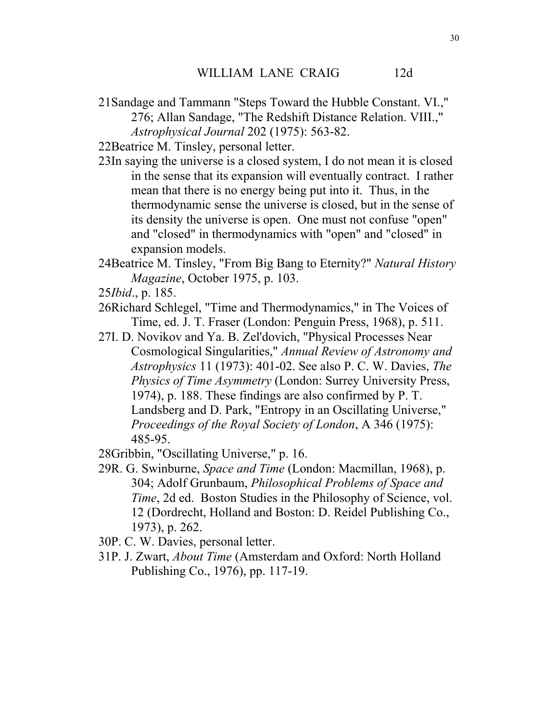21Sandage and Tammann "Steps Toward the Hubble Constant. VI.," 276; Allan Sandage, "The Redshift Distance Relation. VIII.," *Astrophysical Journal* 202 (1975): 563-82.

22Beatrice M. Tinsley, personal letter.

- 23In saying the universe is a closed system, I do not mean it is closed in the sense that its expansion will eventually contract. I rather mean that there is no energy being put into it. Thus, in the thermodynamic sense the universe is closed, but in the sense of its density the universe is open. One must not confuse "open" and "closed" in thermodynamics with "open" and "closed" in expansion models.
- 24Beatrice M. Tinsley, "From Big Bang to Eternity?" *Natural History Magazine*, October 1975, p. 103.
- 25*Ibid*., p. 185.
- 26Richard Schlegel, "Time and Thermodynamics," in The Voices of Time, ed. J. T. Fraser (London: Penguin Press, 1968), p. 511.
- 27I. D. Novikov and Ya. B. Zel'dovich, "Physical Processes Near Cosmological Singularities," *Annual Review of Astronomy and Astrophysics* 11 (1973): 401-02. See also P. C. W. Davies, *The Physics of Time Asymmetry* (London: Surrey University Press, 1974), p. 188. These findings are also confirmed by P. T. Landsberg and D. Park, "Entropy in an Oscillating Universe," *Proceedings of the Royal Society of London*, A 346 (1975): 485-95.
- 28Gribbin, "Oscillating Universe," p. 16.
- 29R. G. Swinburne, *Space and Time* (London: Macmillan, 1968), p. 304; Adolf Grunbaum, *Philosophical Problems of Space and Time*, 2d ed. Boston Studies in the Philosophy of Science, vol. 12 (Dordrecht, Holland and Boston: D. Reidel Publishing Co., 1973), p. 262.
- 30P. C. W. Davies, personal letter.
- 31P. J. Zwart, *About Time* (Amsterdam and Oxford: North Holland Publishing Co., 1976), pp. 117-19.